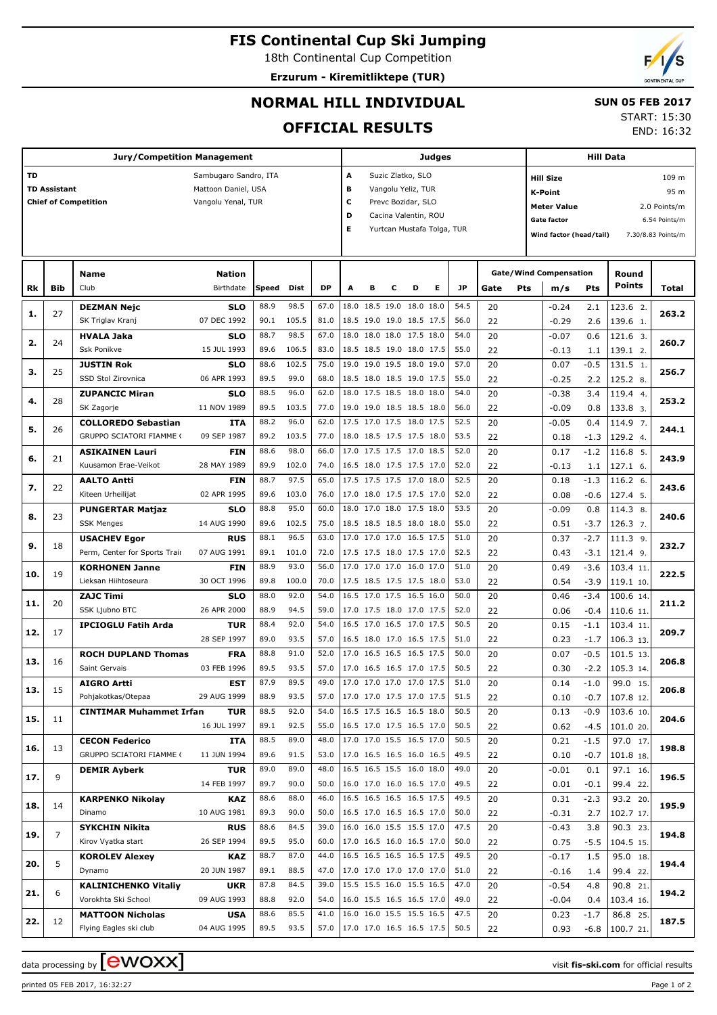# **FIS Continental Cup Ski Jumping**

18th Continental Cup Competition

**Erzurum - Kiremitliktepe (TUR)**



## **NORMAL HILL INDIVIDUAL**

### **SUN 05 FEB 2017**

**OFFICIAL RESULTS**

| <b>START: 15:30</b> |            |
|---------------------|------------|
|                     | FMD. 10.22 |

END: 16:32

| <b>Jury/Competition Management</b> |                     |                                 |                       |       |             |           | <b>Judges</b>           |                      |                          |   |                            |      |      | <b>Hill Data</b> |                                    |        |             |                    |  |  |
|------------------------------------|---------------------|---------------------------------|-----------------------|-------|-------------|-----------|-------------------------|----------------------|--------------------------|---|----------------------------|------|------|------------------|------------------------------------|--------|-------------|--------------------|--|--|
| TD                                 |                     |                                 | Sambugaro Sandro, ITA |       |             |           | Suzic Zlatko, SLO<br>А  |                      |                          |   |                            |      |      |                  | 109 m<br><b>Hill Size</b>          |        |             |                    |  |  |
|                                    | <b>TD Assistant</b> |                                 | Mattoon Daniel, USA   |       |             | в         | Vangolu Yeliz, TUR      |                      |                          |   |                            |      |      |                  | 95 m<br>K-Point                    |        |             |                    |  |  |
|                                    |                     | <b>Chief of Competition</b>     | Vangolu Yenal, TUR    |       |             |           | c<br>Prevc Bozidar, SLO |                      |                          |   |                            |      |      |                  |                                    |        |             |                    |  |  |
|                                    |                     |                                 |                       |       |             |           | D                       | Cacina Valentin, ROU |                          |   |                            |      |      |                  | <b>Meter Value</b><br>2.0 Points/m |        |             |                    |  |  |
|                                    |                     |                                 |                       |       |             |           | Е                       |                      |                          |   | Yurtcan Mustafa Tolga, TUR |      |      |                  | <b>Gate factor</b>                 |        |             | 6.54 Points/m      |  |  |
|                                    |                     |                                 |                       |       |             |           |                         |                      |                          |   |                            |      |      |                  | Wind factor (head/tail)            |        |             | 7.30/8.83 Points/m |  |  |
|                                    |                     |                                 |                       |       |             |           |                         |                      |                          |   |                            |      |      |                  |                                    |        |             |                    |  |  |
|                                    |                     |                                 |                       |       |             |           |                         |                      |                          |   |                            |      |      |                  |                                    |        |             |                    |  |  |
|                                    |                     | <b>Name</b>                     | <b>Nation</b>         |       |             |           |                         |                      |                          |   |                            |      |      |                  | <b>Gate/Wind Compensation</b>      |        | Round       |                    |  |  |
| Rk                                 | Bib                 | Club                            | Birthdate             | Speed | <b>Dist</b> | <b>DP</b> | A                       | в                    | с                        | D | Е                          | JP.  | Gate | Pts              | m/s                                | Pts    | Points      | Total              |  |  |
|                                    |                     | <b>DEZMAN Nejc</b>              | <b>SLO</b>            | 88.9  | 98.5        | 67.0      |                         |                      | 18.0 18.5 19.0 18.0 18.0 |   |                            | 54.5 | 20   |                  | $-0.24$                            | 2.1    | 123.6 2.    |                    |  |  |
| 1.                                 | 27                  | SK Triglav Kranj                | 07 DEC 1992           | 90.1  | 105.5       | 81.0      |                         |                      | 18.5 19.0 19.0 18.5 17.5 |   |                            | 56.0 | 22   |                  | $-0.29$                            | 2.6    | 139.6 1.    | 263.2              |  |  |
|                                    |                     | <b>HVALA Jaka</b>               | <b>SLO</b>            | 88.7  | 98.5        | 67.0      |                         |                      | 18.0 18.0 18.0 17.5 18.0 |   |                            | 54.0 | 20   |                  | $-0.07$                            | 0.6    | 121.6 3.    |                    |  |  |
| 2.                                 | 24                  | <b>Ssk Ponikve</b>              | 15 JUL 1993           | 89.6  | 106.5       | 83.0      |                         |                      | 18.5 18.5 19.0 18.0 17.5 |   |                            | 55.0 | 22   |                  | $-0.13$                            | 1.1    | 139.1 2.    | 260.7              |  |  |
|                                    |                     | <b>JUSTIN Rok</b>               | <b>SLO</b>            | 88.6  | 102.5       | 75.0      |                         |                      | 19.0 19.0 19.5 18.0 19.0 |   |                            | 57.0 | 20   |                  | 0.07                               | $-0.5$ | 131.5 1.    |                    |  |  |
| з.                                 | 25                  | SSD Stol Zirovnica              | 06 APR 1993           | 89.5  | 99.0        | 68.0      |                         |                      | 18.5 18.0 18.5 19.0 17.5 |   |                            | 55.0 | 22   |                  | $-0.25$                            | 2.2    | 125.2 8.    | 256.7              |  |  |
|                                    |                     | <b>ZUPANCIC Miran</b>           | <b>SLO</b>            | 88.5  | 96.0        | 62.0      |                         |                      | 18.0 17.5 18.5 18.0 18.0 |   |                            | 54.0 | 20   |                  | $-0.38$                            | 3.4    | 119.4 4.    |                    |  |  |
| 4.                                 | 28                  | SK Zagorje                      | 11 NOV 1989           | 89.5  | 103.5       | 77.0      |                         |                      | 19.0 19.0 18.5 18.5 18.0 |   |                            | 56.0 | 22   |                  | $-0.09$                            | 0.8    | 133.8 3.    | 253.2              |  |  |
|                                    |                     | <b>COLLOREDO Sebastian</b>      | <b>ITA</b>            | 88.2  | 96.0        | 62.0      |                         |                      | 17.5 17.0 17.5 18.0 17.5 |   |                            | 52.5 | 20   |                  | $-0.05$                            | 0.4    | 114.9 7.    |                    |  |  |
| 5.                                 | 26                  | <b>GRUPPO SCIATORI FIAMME (</b> | 09 SEP 1987           | 89.2  | 103.5       | 77.0      |                         |                      | 18.0 18.5 17.5 17.5 18.0 |   |                            | 53.5 | 22   |                  | 0.18                               | $-1.3$ | 129.2 4.    | 244.1              |  |  |
|                                    |                     |                                 |                       | 88.6  | 98.0        | 66.0      |                         |                      | 17.0 17.5 17.5 17.0 18.5 |   |                            | 52.0 | 20   |                  |                                    |        |             |                    |  |  |
| 6.                                 | 21                  | <b>ASIKAINEN Lauri</b>          | FIN                   |       |             |           |                         |                      |                          |   |                            |      |      |                  | 0.17                               | $-1.2$ | 116.8 5.    | 243.9              |  |  |
|                                    |                     | Kuusamon Erae-Veikot            | 28 MAY 1989           | 89.9  | 102.0       | 74.0      |                         |                      | 16.5 18.0 17.5 17.5 17.0 |   |                            | 52.0 | 22   |                  | $-0.13$                            | 1.1    | 127.1 6.    |                    |  |  |
| 7.                                 | 22                  | <b>AALTO Antti</b>              | FIN                   | 88.7  | 97.5        | 65.0      |                         |                      | 17.5 17.5 17.5 17.0 18.0 |   |                            | 52.5 | 20   |                  | 0.18                               | $-1.3$ | 116.2 6.    | 243.6              |  |  |
|                                    |                     | Kiteen Urheilijat               | 02 APR 1995           | 89.6  | 103.0       | 76.0      |                         |                      | 17.0 18.0 17.5 17.5 17.0 |   |                            | 52.0 | 22   |                  | 0.08                               | $-0.6$ | 127.4 5.    |                    |  |  |
| 8.                                 | 23                  | <b>PUNGERTAR Matjaz</b>         | <b>SLO</b>            | 88.8  | 95.0        | 60.0      |                         |                      | 18.0 17.0 18.0 17.5 18.0 |   |                            | 53.5 | 20   |                  | $-0.09$                            | 0.8    | 114.3 8.    | 240.6              |  |  |
|                                    |                     | <b>SSK Menges</b>               | 14 AUG 1990           | 89.6  | 102.5       | 75.0      |                         |                      | 18.5 18.5 18.5 18.0 18.0 |   |                            | 55.0 | 22   |                  | 0.51                               | $-3.7$ | 126.3 7.    |                    |  |  |
| 9.                                 | 18                  | <b>USACHEV Egor</b>             | <b>RUS</b>            | 88.1  | 96.5        | 63.0      |                         |                      | 17.0 17.0 17.0 16.5 17.5 |   |                            | 51.0 | 20   |                  | 0.37                               | $-2.7$ | 111.3 9.    | 232.7              |  |  |
|                                    |                     | Perm, Center for Sports Trair   | 07 AUG 1991           | 89.1  | 101.0       | 72.0      |                         |                      | 17.5 17.5 18.0 17.5 17.0 |   |                            | 52.5 | 22   |                  | 0.43                               | $-3.1$ | 121.4 9.    |                    |  |  |
| 10.                                | 19                  | <b>KORHONEN Janne</b>           | FIN                   | 88.9  | 93.0        | 56.0      |                         |                      | 17.0 17.0 17.0 16.0 17.0 |   |                            | 51.0 | 20   |                  | 0.49                               | $-3.6$ | 103.4 11    | 222.5              |  |  |
|                                    |                     | Lieksan Hiihtoseura             | 30 OCT 1996           | 89.8  | 100.0       | 70.0      |                         |                      | 17.5 18.5 17.5 17.5 18.0 |   |                            | 53.0 | 22   |                  | 0.54                               | $-3.9$ | 119.1 10.   |                    |  |  |
| 11.                                | 20                  | <b>ZAJC Timi</b>                | <b>SLO</b>            | 88.0  | 92.0        | 54.0      |                         |                      | 16.5 17.0 17.5 16.5 16.0 |   |                            | 50.0 | 20   |                  | 0.46                               | $-3.4$ | 100.6 14.   | 211.2              |  |  |
|                                    |                     | SSK Ljubno BTC                  | 26 APR 2000           | 88.9  | 94.5        | 59.0      |                         |                      | 17.0 17.5 18.0 17.0 17.5 |   |                            | 52.0 | 22   |                  | 0.06                               | $-0.4$ | 110.6 11.   |                    |  |  |
| 12.                                | 17                  | <b>IPCIOGLU Fatih Arda</b>      | <b>TUR</b>            | 88.4  | 92.0        | 54.0      |                         |                      | 16.5 17.0 16.5 17.0 17.5 |   |                            | 50.5 | 20   |                  | 0.15                               | $-1.1$ | 103.4 11    | 209.7              |  |  |
|                                    |                     |                                 | 28 SEP 1997           | 89.0  | 93.5        | 57.0      |                         |                      | 16.5 18.0 17.0 16.5 17.5 |   |                            | 51.0 | 22   |                  | 0.23                               | $-1.7$ | 106.3 13.   |                    |  |  |
| 13.                                | 16                  | <b>ROCH DUPLAND Thomas</b>      | <b>FRA</b>            | 88.8  | 91.0        | 52.0      |                         |                      | 17.0 16.5 16.5 16.5 17.5 |   |                            | 50.0 | 20   |                  | 0.07                               | $-0.5$ | 101.5 13.   | 206.8              |  |  |
|                                    |                     | Saint Gervais                   | 03 FEB 1996           | 89.5  | 93.5        | 57.0      |                         |                      | 17.0 16.5 16.5 17.0 17.5 |   |                            | 50.5 | 22   |                  | 0.30                               | $-2.2$ | 105.3 14.   |                    |  |  |
| 13.                                | 15                  | <b>AIGRO Artti</b>              | <b>EST</b>            | 87.9  | 89.5        | 49.0      |                         |                      | 17.0 17.0 17.0 17.0 17.5 |   |                            | 51.0 | 20   |                  | 0.14                               | $-1.0$ | 99.0<br>15. | 206.8              |  |  |
|                                    |                     | Pohjakotkas/Otepaa              | 29 AUG 1999           | 88.9  | 93.5        | 57.0      |                         |                      | 17.0 17.0 17.5 17.0 17.5 |   |                            | 51.5 | 22   |                  | 0.10                               | $-0.7$ | 107.8 12.   |                    |  |  |
| 15.                                | 11                  | <b>CINTIMAR Muhammet Irfan</b>  | <b>TUR</b>            | 88.5  | 92.0        | 54.0      |                         |                      | 16.5 17.5 16.5 16.5 18.0 |   |                            | 50.5 | 20   |                  | 0.13                               | $-0.9$ | 103.6 10.   | 204.6              |  |  |
|                                    |                     |                                 | 16 JUL 1997           | 89.1  | 92.5        | 55.0      |                         |                      | 16.5 17.0 17.5 16.5 17.0 |   |                            | 50.5 | 22   |                  | 0.62                               | $-4.5$ | 101.0 20.   |                    |  |  |
|                                    | 13                  | <b>CECON Federico</b>           | ITA                   | 88.5  | 89.0        | 48.0      |                         |                      | 17.0 17.0 15.5 16.5 17.0 |   |                            | 50.5 | 20   |                  | 0.21                               | $-1.5$ | 97.0 17.    | 198.8              |  |  |
| 16.                                |                     | <b>GRUPPO SCIATORI FIAMME (</b> | 11 JUN 1994           | 89.6  | 91.5        | 53.0      |                         |                      | 17.0 16.5 16.5 16.0 16.5 |   |                            | 49.5 | 22   |                  | 0.10                               | $-0.7$ | 101.8 18.   |                    |  |  |
|                                    |                     | <b>DEMIR Ayberk</b>             | TUR                   | 89.0  | 89.0        | 48.0      |                         |                      | 16.5 16.5 15.5 16.0 18.0 |   |                            | 49.0 | 20   |                  | $-0.01$                            | 0.1    | 97.1 16.    |                    |  |  |
| 17.                                | 9                   |                                 | 14 FEB 1997           | 89.7  | 90.0        | 50.0      |                         |                      | 16.0 17.0 16.0 16.5 17.0 |   |                            | 49.5 | 22   |                  | 0.01                               | $-0.1$ | 99.4 22.    | 196.5              |  |  |
|                                    |                     | <b>KARPENKO Nikolay</b>         | <b>KAZ</b>            | 88.6  | 88.0        | 46.0      |                         |                      | 16.5 16.5 16.5 16.5 17.5 |   |                            | 49.5 | 20   |                  | 0.31                               | $-2.3$ | 93.2 20.    |                    |  |  |
| 18.                                | 14                  | Dinamo                          | 10 AUG 1981           | 89.3  | 90.0        | 50.0      |                         |                      | 16.5 17.0 16.5 16.5 17.0 |   |                            | 50.0 | 22   |                  | $-0.31$                            | 2.7    | 102.7 17.   | 195.9              |  |  |
|                                    |                     | <b>SYKCHIN Nikita</b>           | <b>RUS</b>            | 88.6  | 84.5        | 39.0      |                         |                      | 16.0 16.0 15.5 15.5 17.0 |   |                            | 47.5 | 20   |                  | $-0.43$                            | 3.8    | 90.3 23.    |                    |  |  |
| 19.                                | $\overline{7}$      | Kirov Vyatka start              | 26 SEP 1994           | 89.5  | 95.0        | 60.0      |                         |                      | 17.0 16.5 16.0 16.5 17.0 |   |                            | 50.0 | 22   |                  | 0.75                               | $-5.5$ | 104.5 15.   | 194.8              |  |  |
|                                    |                     | <b>KOROLEV Alexey</b>           | KAZ                   | 88.7  | 87.0        | 44.0      |                         |                      | 16.5 16.5 16.5 16.5 17.5 |   |                            | 49.5 | 20   |                  | -0.17                              | 1.5    | 95.0 18.    |                    |  |  |
| 20.                                | 5                   | Dynamo                          | 20 JUN 1987           | 89.1  | 88.5        | 47.0      |                         |                      | 17.0 17.0 17.0 17.0 17.0 |   |                            | 51.0 | 22   |                  | $-0.16$                            | 1.4    | 99.4 22.    | 194.4              |  |  |
|                                    |                     | <b>KALINICHENKO Vitaliy</b>     | <b>UKR</b>            | 87.8  | 84.5        | 39.0      |                         |                      | 15.5 15.5 16.0 15.5 16.5 |   |                            | 47.0 | 20   |                  | $-0.54$                            | 4.8    | 90.8 21.    |                    |  |  |
| 21.                                | 6                   | Vorokhta Ski School             | 09 AUG 1993           | 88.8  | 92.0        | 54.0      |                         |                      | 16.0 15.5 16.5 16.5 17.0 |   |                            | 49.0 | 22   |                  | $-0.04$                            | 0.4    | 103.4 16.   | 194.2              |  |  |
|                                    |                     | <b>MATTOON Nicholas</b>         | <b>USA</b>            | 88.6  | 85.5        | 41.0      |                         |                      | 16.0 16.0 15.5 15.5 16.5 |   |                            | 47.5 | 20   |                  | 0.23                               | -1.7   | 86.8 25.    |                    |  |  |
| 22.                                | 12                  | Flying Eagles ski club          | 04 AUG 1995           | 89.5  | 93.5        | 57.0      |                         |                      |                          |   | 17.0 17.0 16.5 16.5 17.5   | 50.5 | 22   |                  | 0.93                               | $-6.8$ | 100.7 21.   | 187.5              |  |  |

printed 05 FEB 2017, 16:32:27 Page 1 of 2

data processing by **CWOXX** and  $\overline{C}$  and  $\overline{C}$  and  $\overline{C}$  and  $\overline{C}$  and  $\overline{C}$  and  $\overline{C}$  and  $\overline{C}$  and  $\overline{C}$  and  $\overline{C}$  and  $\overline{C}$  and  $\overline{C}$  and  $\overline{C}$  and  $\overline{C}$  and  $\overline{C}$  and  $\overline{C}$